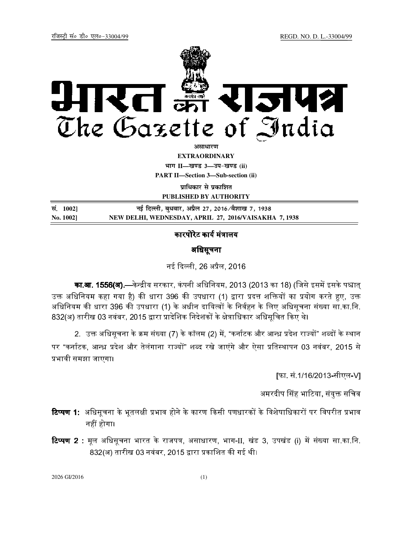

<u>असाधारण</u>

**EXTRAORDINARY**

**Hkkx II—[k.M 3—mi&[k.M (ii) PART II—Section 3—Sub-section (ii)** 

**पाधिकार से प्रकाशित** 

**PUBLISHED BY AUTHORITY**

| सं. 1002] | नई दिल्ली, बुधवार, अप्रैल 27, 2016 ∕वैशाख 7, 1938     |
|-----------|-------------------------------------------------------|
| No. 1002] | NEW DELHI, WEDNESDAY, APRIL 27, 2016/VAISAKHA 7, 1938 |

# कारपोरेट कार्य मंत्रालय

## अधिसूचना

नई दिल्ली, 26 अप्रैल, 2016

का.<mark>आ. 1556(अ).—</mark>केन्द्रीय सरकार, कंपनी अधिनियम, 2013 (2013 का 18) (जिसे इसमें इसके पश्चात् उक्त अधिनियम कहा गया है) की धारा 396 की उपधारा (1) द्वारा प्रदत्त शक्तियों का प्रयोग करते हुए, उक्त अधिनियम की धारा 396 की उपधारा (1) के अधीन दायित्वों के निर्वहन के लिए अधिसूचना संख्या सा.का.नि. 832(अ) तारीख 03 नवंबर, 2015 द्वारा प्रादेशिक निदेशकों के क्षेत्राधिकार अधिसूचित किए थे।

2. उक्त अधिसूचना के क्रम संख्या (7) के कॉलम (2) में, "कर्नाटक और आन्ध्र प्रदेश राज्यों" शब्दों के स्थान पर "कर्नाटक, आन्ध्र प्रदेश और तेलंगाना राज्यों" शब्द रखे जाएंगे और ऐसा प्रतिस्थापन 03 नवंबर, 2015 से भावी समझा जाएगा।

[फा. सं.1/16/2013-सीएल-V]

अमरदीप सिंह भाटिया, संयुक्त सचिव

- **टिप्पण 1:** अधिसूचना के भूतलक्षी प्रभाव होने के कारण किसी पणधारकों के विशेषाधिकारों पर विपरीत प्रभाव नहीं होगा।
- **टिप्पण 2** : मूल अधिसूचना भारत के राजपत्र, असाधारण, भाग-II, खंड 3, उपखंड (i) में संख्या सा.का.नि. 832(अ) तारीख 03 नवंबर, 2015 द्वारा प्रकाशित की गई थी।

2026 GI/2016 (1)